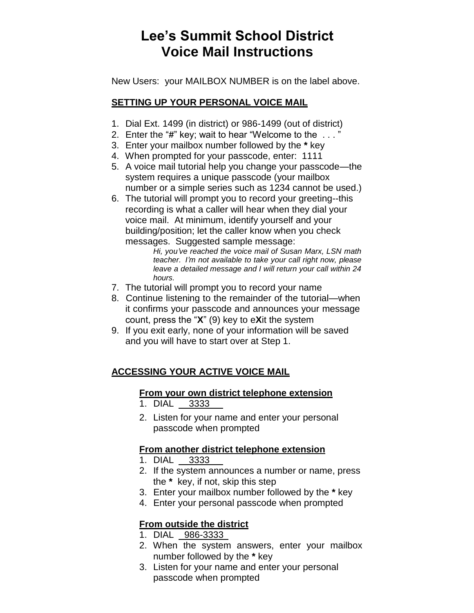# **Lee's Summit School District Voice Mail Instructions**

New Users: your MAILBOX NUMBER is on the label above.

## **SETTING UP YOUR PERSONAL VOICE MAIL**

- 1. Dial Ext. 1499 (in district) or 986-1499 (out of district)
- 2. Enter the "**#**" key; wait to hear "Welcome to the . . . "
- 3. Enter your mailbox number followed by the **\*** key
- 4. When prompted for your passcode, enter: 1111
- 5. A voice mail tutorial help you change your passcode—the system requires a unique passcode (your mailbox number or a simple series such as 1234 cannot be used.)
- 6. The tutorial will prompt you to record your greeting--this recording is what a caller will hear when they dial your voice mail. At minimum, identify yourself and your building/position; let the caller know when you check messages. Suggested sample message:

*Hi, you've reached the voice mail of Susan Marx, LSN math teacher. I'm not available to take your call right now, please leave a detailed message and I will return your call within 24 hours.*

- 7. The tutorial will prompt you to record your name
- 8. Continue listening to the remainder of the tutorial—when it confirms your passcode and announces your message count, press the "**X**" (9) key to e**X**it the system
- 9. If you exit early, none of your information will be saved and you will have to start over at Step 1.

## **ACCESSING YOUR ACTIVE VOICE MAIL**

### **From your own district telephone extension**

- 1. DIAL 3333
- 2. Listen for your name and enter your personal passcode when prompted

## **From another district telephone extension**

- 1. DIAL 3333
- 2. If the system announces a number or name, press the **\*** key, if not, skip this step
- 3. Enter your mailbox number followed by the **\*** key
- 4. Enter your personal passcode when prompted

## **From outside the district**

- 1. DIAL 986-3333
- 2. When the system answers, enter your mailbox number followed by the **\*** key
- 3. Listen for your name and enter your personal passcode when prompted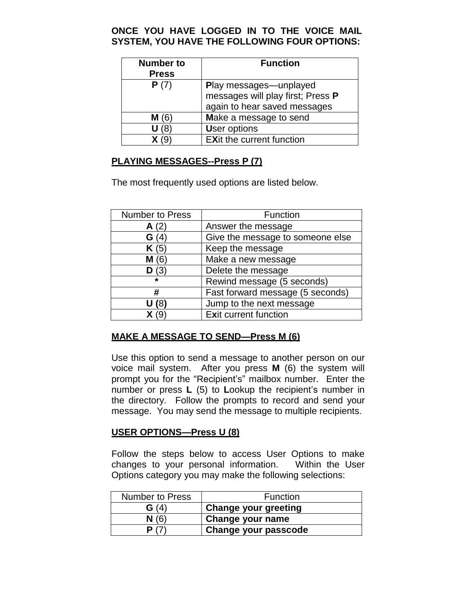#### **ONCE YOU HAVE LOGGED IN TO THE VOICE MAIL SYSTEM, YOU HAVE THE FOLLOWING FOUR OPTIONS:**

| <b>Number to</b><br><b>Press</b> | <b>Function</b>                                                                                    |
|----------------------------------|----------------------------------------------------------------------------------------------------|
| P(7)                             | <b>Play messages—unplayed</b><br>messages will play first; Press P<br>again to hear saved messages |
| M(6)                             | Make a message to send                                                                             |
|                                  | <b>User options</b>                                                                                |
|                                  | <b>EXit the current function</b>                                                                   |

### **PLAYING MESSAGES--Press P (7)**

The most frequently used options are listed below.

| Number to Press | Function                         |
|-----------------|----------------------------------|
| A(2)            | Answer the message               |
| G(4)            | Give the message to someone else |
| K(5)            | Keep the message                 |
| M(6)            | Make a new message               |
| D(3)            | Delete the message               |
| $\star$         | Rewind message (5 seconds)       |
| #               | Fast forward message (5 seconds) |
| U (8)           | Jump to the next message         |
|                 | Exit current function            |

### **MAKE A MESSAGE TO SEND—Press M (6)**

Use this option to send a message to another person on our voice mail system. After you press **M** (6) the system will prompt you for the "Recipient's" mailbox number. Enter the number or press **L** (5) to **L**ookup the recipient's number in the directory. Follow the prompts to record and send your message. You may send the message to multiple recipients.

### **USER OPTIONS—Press U (8)**

Follow the steps below to access User Options to make changes to your personal information. Within the User Options category you may make the following selections:

| <b>Number to Press</b> | <b>Function</b>             |
|------------------------|-----------------------------|
| G(4)                   | <b>Change your greeting</b> |
| N(6)                   | Change your name            |
|                        | Change your passcode        |